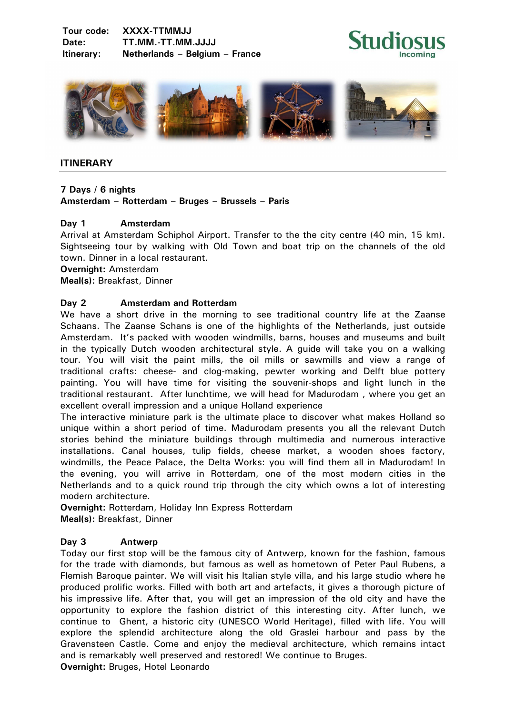**Tour code: XXXX-TTMMJJ Date: TT.MM.-TT.MM.JJJJ Itinerary: Netherlands – Belgium – France**





## **ITINERARY**

## **7 Days / 6 nights**

**Amsterdam – Rotterdam – Bruges – Brussels – Paris** 

## **Day 1 Amsterdam**

Arrival at Amsterdam Schiphol Airport. Transfer to the the city centre (40 min, 15 km). Sightseeing tour by walking with Old Town and boat trip on the channels of the old town. Dinner in a local restaurant.

**Overnight:** Amsterdam

**Meal(s):** Breakfast, Dinner

## **Day 2 Amsterdam and Rotterdam**

We have a short drive in the morning to see traditional country life at the Zaanse Schaans. The Zaanse Schans is one of the highlights of the Netherlands, just outside Amsterdam. It's packed with wooden windmills, barns, houses and museums and built in the typically Dutch wooden architectural style. A guide will take you on a walking tour. You will visit the paint mills, the oil mills or sawmills and view a range of traditional crafts: cheese- and clog-making, pewter working and Delft blue pottery painting. You will have time for visiting the souvenir-shops and light lunch in the traditional restaurant. After lunchtime, we will head for Madurodam , where you get an excellent overall impression and a unique Holland experience

The interactive miniature park is the ultimate place to discover what makes Holland so unique within a short period of time. Madurodam presents you all the relevant Dutch stories behind the miniature buildings through multimedia and numerous interactive installations. Canal houses, tulip fields, cheese market, a wooden shoes factory, windmills, the Peace Palace, the Delta Works: you will find them all in Madurodam! In the evening, you will arrive in Rotterdam, one of the most modern cities in the Netherlands and to a quick round trip through the city which owns a lot of interesting modern architecture.

**Overnight:** Rotterdam, Holiday Inn Express Rotterdam **Meal(s):** Breakfast, Dinner

#### **Day 3 Antwerp**

Today our first stop will be the famous city of Antwerp, known for the fashion, famous for the trade with diamonds, but famous as well as hometown of Peter Paul Rubens, a Flemish Baroque painter. We will visit his Italian style villa, and his large studio where he produced prolific works. Filled with both art and artefacts, it gives a thorough picture of his impressive life. After that, you will get an impression of the old city and have the opportunity to explore the fashion district of this interesting city. After lunch, we continue to Ghent, a historic city (UNESCO World Heritage), filled with life. You will explore the splendid architecture along the old Graslei harbour and pass by the Gravensteen Castle. Come and enjoy the medieval architecture, which remains intact and is remarkably well preserved and restored! We continue to Bruges. **Overnight:** Bruges, Hotel Leonardo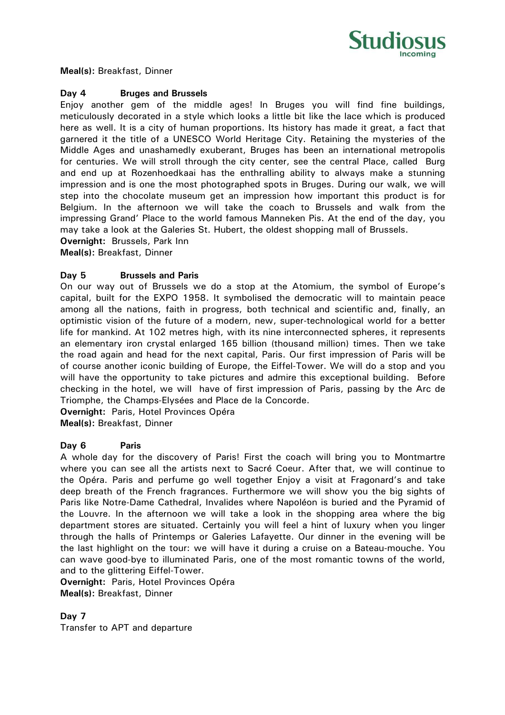

**Meal(s):** Breakfast, Dinner

#### **Day 4 Bruges and Brussels**

Enjoy another gem of the middle ages! In Bruges you will find fine buildings, meticulously decorated in a style which looks a little bit like the lace which is produced here as well. It is a city of human proportions. Its history has made it great, a fact that garnered it the title of a UNESCO World Heritage City. Retaining the mysteries of the Middle Ages and unashamedly exuberant, Bruges has been an international metropolis for centuries. We will stroll through the city center, see the central Place, called Burg and end up at Rozenhoedkaai has the enthralling ability to always make a stunning impression and is one the most photographed spots in Bruges. During our walk, we will step into the chocolate museum get an impression how important this product is for Belgium. In the afternoon we will take the coach to Brussels and walk from the impressing Grand' Place to the world famous Manneken Pis. At the end of the day, you may take a look at the Galeries St. Hubert, the oldest shopping mall of Brussels.

**Overnight:** Brussels, Park Inn

**Meal(s):** Breakfast, Dinner

## **Day 5 Brussels and Paris**

On our way out of Brussels we do a stop at the Atomium, the symbol of Europe's capital, built for the EXPO 1958. It symbolised the democratic will to maintain peace among all the nations, faith in progress, both technical and scientific and, finally, an optimistic vision of the future of a modern, new, super-technological world for a better life for mankind. At 102 metres high, with its nine interconnected spheres, it represents an elementary iron crystal enlarged 165 billion (thousand million) times. Then we take the road again and head for the next capital, Paris. Our first impression of Paris will be of course another iconic building of Europe, the Eiffel-Tower. We will do a stop and you will have the opportunity to take pictures and admire this exceptional building. Before checking in the hotel, we will have of first impression of Paris, passing by the Arc de Triomphe, the Champs-Elysées and Place de la Concorde.

**Overnight:** Paris, Hotel Provinces Opéra

**Meal(s):** Breakfast, Dinner

#### **Day 6 Paris**

A whole day for the discovery of Paris! First the coach will bring you to Montmartre where you can see all the artists next to Sacré Coeur. After that, we will continue to the Opéra. Paris and perfume go well together Enjoy a visit at Fragonard's and take deep breath of the French fragrances. Furthermore we will show you the big sights of Paris like Notre-Dame Cathedral, Invalides where Napoléon is buried and the Pyramid of the Louvre. In the afternoon we will take a look in the shopping area where the big department stores are situated. Certainly you will feel a hint of luxury when you linger through the halls of Printemps or Galeries Lafayette. Our dinner in the evening will be the last highlight on the tour: we will have it during a cruise on a Bateau-mouche. You can wave good-bye to illuminated Paris, one of the most romantic towns of the world, and to the glittering Eiffel-Tower.

**Overnight:** Paris, Hotel Provinces Opéra **Meal(s):** Breakfast, Dinner

**Day 7** 

Transfer to APT and departure